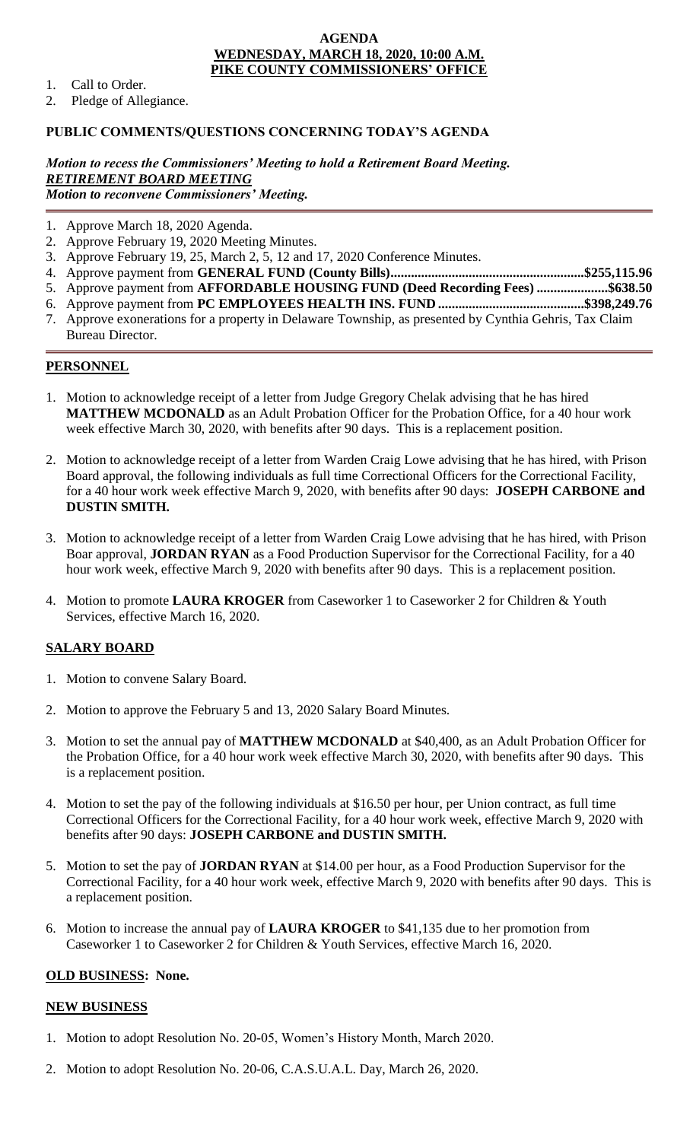#### **AGENDA WEDNESDAY, MARCH 18, 2020, 10:00 A.M. PIKE COUNTY COMMISSIONERS' OFFICE**

- 1. Call to Order.
- 2. Pledge of Allegiance.

## **PUBLIC COMMENTS/QUESTIONS CONCERNING TODAY'S AGENDA**

*Motion to recess the Commissioners' Meeting to hold a Retirement Board Meeting. RETIREMENT BOARD MEETING Motion to reconvene Commissioners' Meeting.*

- 1. Approve March 18, 2020 Agenda.
- 2. Approve February 19, 2020 Meeting Minutes.
- 3. Approve February 19, 25, March 2, 5, 12 and 17, 2020 Conference Minutes.
- 4. Approve payment from **GENERAL FUND (County Bills).........................................................\$255,115.96**
- 5. Approve payment from **AFFORDABLE HOUSING FUND (Deed Recording Fees) .....................\$638.50**
- 6. Approve payment from **PC EMPLOYEES HEALTH INS. FUND ...........................................\$398,249.76**
- 7. Approve exonerations for a property in Delaware Township, as presented by Cynthia Gehris, Tax Claim Bureau Director.

# **PERSONNEL**

- 1. Motion to acknowledge receipt of a letter from Judge Gregory Chelak advising that he has hired **MATTHEW MCDONALD** as an Adult Probation Officer for the Probation Office, for a 40 hour work week effective March 30, 2020, with benefits after 90 days. This is a replacement position.
- 2. Motion to acknowledge receipt of a letter from Warden Craig Lowe advising that he has hired, with Prison Board approval, the following individuals as full time Correctional Officers for the Correctional Facility, for a 40 hour work week effective March 9, 2020, with benefits after 90 days: **JOSEPH CARBONE and DUSTIN SMITH.**
- 3. Motion to acknowledge receipt of a letter from Warden Craig Lowe advising that he has hired, with Prison Boar approval, **JORDAN RYAN** as a Food Production Supervisor for the Correctional Facility, for a 40 hour work week, effective March 9, 2020 with benefits after 90 days. This is a replacement position.
- 4. Motion to promote **LAURA KROGER** from Caseworker 1 to Caseworker 2 for Children & Youth Services, effective March 16, 2020.

# **SALARY BOARD**

- 1. Motion to convene Salary Board.
- 2. Motion to approve the February 5 and 13, 2020 Salary Board Minutes.
- 3. Motion to set the annual pay of **MATTHEW MCDONALD** at \$40,400, as an Adult Probation Officer for the Probation Office, for a 40 hour work week effective March 30, 2020, with benefits after 90 days. This is a replacement position.
- 4. Motion to set the pay of the following individuals at \$16.50 per hour, per Union contract, as full time Correctional Officers for the Correctional Facility, for a 40 hour work week, effective March 9, 2020 with benefits after 90 days: **JOSEPH CARBONE and DUSTIN SMITH.**
- 5. Motion to set the pay of **JORDAN RYAN** at \$14.00 per hour, as a Food Production Supervisor for the Correctional Facility, for a 40 hour work week, effective March 9, 2020 with benefits after 90 days. This is a replacement position.
- 6. Motion to increase the annual pay of **LAURA KROGER** to \$41,135 due to her promotion from Caseworker 1 to Caseworker 2 for Children & Youth Services, effective March 16, 2020.

### **OLD BUSINESS: None.**

### **NEW BUSINESS**

- 1. Motion to adopt Resolution No. 20-05, Women's History Month, March 2020.
- 2. Motion to adopt Resolution No. 20-06, C.A.S.U.A.L. Day, March 26, 2020.